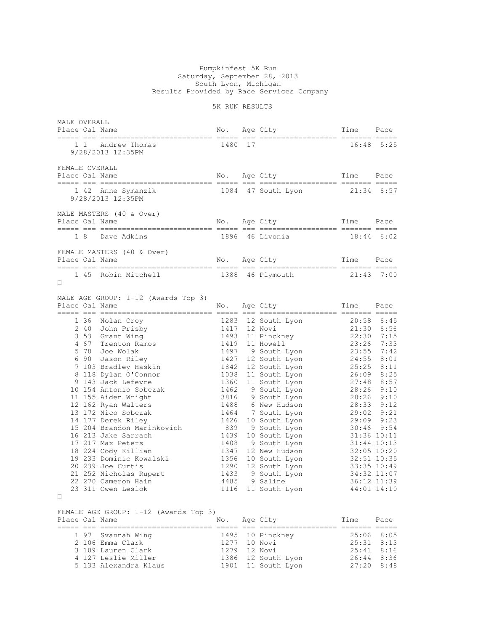## Pumpkinfest 5K Run Saturday, September 28, 2013 South Lyon, Michigan Results Provided by Race Services Company

## 5K RUN RESULTS

|                | MALE OVERALL<br>Place Oal Name                                        |      |    | No. Age City                                                                                              | Time                                                                             | Pace         |
|----------------|-----------------------------------------------------------------------|------|----|-----------------------------------------------------------------------------------------------------------|----------------------------------------------------------------------------------|--------------|
|                | 1 1 Andrew Thomas<br>9/28/2013 12:35PM                                | 1480 | 17 |                                                                                                           | 16:48                                                                            | 5:25         |
| FEMALE OVERALL |                                                                       |      |    |                                                                                                           |                                                                                  |              |
|                | 1 42 Anne Symanzik 1084 47 South Lyon 21:34 6:57<br>9/28/2013 12:35PM |      |    |                                                                                                           |                                                                                  |              |
| Place Oal Name | MALE MASTERS (40 & Over)                                              |      |    | No. Age City Time Pace                                                                                    |                                                                                  |              |
|                | 1 8 Dave Adkins                                                       |      |    | 1896 46 Livonia 18:44 6:02                                                                                |                                                                                  |              |
|                | FEMALE MASTERS (40 & Over)                                            |      |    |                                                                                                           |                                                                                  |              |
|                | 1 45 Robin Mitchell 1388 46 Plymouth 21:43 7:00                       |      |    |                                                                                                           |                                                                                  |              |
| Place Oal Name | MALE AGE GROUP: 1-12 (Awards Top 3)                                   | No.  |    | Age City                                                                                                  | Time Pace                                                                        |              |
|                |                                                                       |      |    | 1283 12 South Lyon 20:58 6:45<br>1417 12 Novi 21:30 6:56<br>1493 11 Pinckney 22:30 7:15<br>1419 11 Novell | 21:30 6:56<br>22:30 7:15<br>23:26 7:33<br>23:26 7:33<br>24:55 8:01<br>26:09 8:25 | $26:09$ 8:25 |

FEMALE AGE GROUP: 1-12 (Awards Top 3) Place Oal Name No. Age City Time Pace ===== === ========================== ===== === ================== ======= ===== 1 97 Svannah Wing 1495 10 Pinckney 25:06 8:05 2 106 Emma Clark 1277 10 Novi 25:31 8:13 3 109 Lauren Clark 1279 12 Novi 25:41 8:16 4 127 Leslie Miller 1386 12 South Lyon 26:44 8:36 5 133 Alexandra Klaus 1901 11 South Lyon 27:20 8:48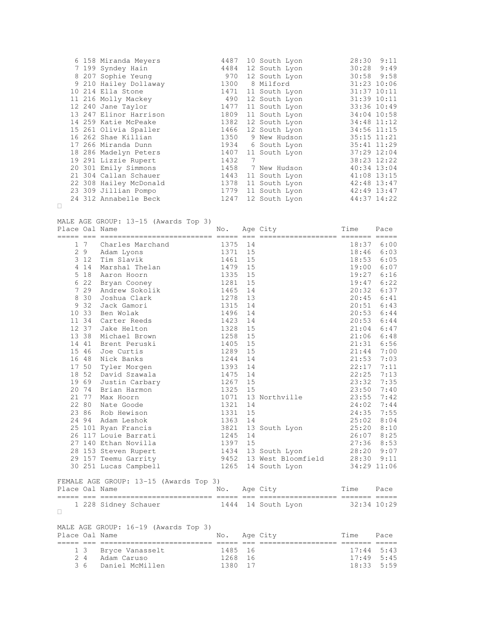|  | 6 158 Miranda Meyers   | 4487 |   | 10 South Lyon | 28:30           | 9:11        |
|--|------------------------|------|---|---------------|-----------------|-------------|
|  | 7 199 Syndey Hain      | 4484 |   | 12 South Lyon | 30:28           | 9:49        |
|  | 8 207 Sophie Yeung     | 970  |   | 12 South Lyon | $30:58$ 9:58    |             |
|  | 9 210 Hailey Dollaway  | 1300 |   | 8 Milford     | 31:23 10:06     |             |
|  | 10 214 Ella Stone      | 1471 |   | 11 South Lyon | 31:37 10:11     |             |
|  | 11 216 Molly Mackey    | 490  |   | 12 South Lyon | 31:39 10:11     |             |
|  | 12 240 Jane Taylor     | 1477 |   | 11 South Lyon | 33:36 10:49     |             |
|  | 13 247 Elinor Harrison | 1809 |   | 11 South Lyon | 34:04 10:58     |             |
|  | 14 259 Katie McPeake   | 1382 |   | 12 South Lyon | 34:48 11:12     |             |
|  | 15 261 Olivia Spaller  | 1466 |   | 12 South Lyon | 34:56 11:15     |             |
|  | 16 262 Shae Killian    | 1350 |   | 9 New Hudson  | $35:15$ $11:21$ |             |
|  | 17 266 Miranda Dunn    | 1934 |   | 6 South Lyon  | 35:41 11:29     |             |
|  | 18 286 Madelyn Peters  | 1407 |   | 11 South Lyon | 37:29 12:04     |             |
|  | 19 291 Lizzie Rupert   | 1432 | 7 |               | 38:23 12:22     |             |
|  | 20 301 Emily Simmons   | 1458 |   | 7 New Hudson  |                 | 40:34 13:04 |
|  | 21 304 Callan Schauer  | 1443 |   | 11 South Lyon | 41:08 13:15     |             |
|  | 22 308 Hailey McDonald | 1378 |   | 11 South Lyon | 42:48 13:47     |             |
|  | 23 309 Jillian Pompo   | 1779 |   | 11 South Lyon |                 | 42:49 13:47 |
|  | 24 312 Annabelle Beck  | 1247 |   | 12 South Lyon |                 | 44:37 14:22 |

MALE AGE GROUP: 13-15 (Awards Top 3)

| Place Oal Name |                     |                                        | No.  |    | Age City                       | Time  | Pace        |
|----------------|---------------------|----------------------------------------|------|----|--------------------------------|-------|-------------|
|                | $=$ $=$ $=$ $=$ $=$ | ----------------------- ---- --        |      |    | ---------------- ------- ----- |       |             |
|                | 1 7                 | Charles Marchand                       | 1375 | 14 |                                | 18:37 | 6:00        |
| $\mathbf{2}$   | 9                   | Adam Lyons                             | 1371 | 15 |                                | 18:46 | 6:03        |
| 3              | 12                  | Tim Slavik                             | 1461 | 15 |                                | 18:53 | 6:05        |
|                | 4 1 4               | Marshal Thelan                         | 1479 | 15 |                                | 19:00 | 6:07        |
| 5              | 18                  | Aaron Hoorn                            | 1335 | 15 |                                | 19:27 | 6:16        |
| 6              | 22                  | Bryan Cooney                           | 1281 | 15 |                                | 19:47 | 6:22        |
| 7              | 29                  | Andrew Sokolik                         | 1465 | 14 |                                | 20:32 | 6:37        |
| 8              | 30                  | Joshua Clark                           | 1278 | 13 |                                | 20:45 | 6:41        |
| 9              | 32                  | Jack Gamori                            | 1315 | 14 |                                | 20:51 | 6:43        |
|                | 10 33               | Ben Wolak                              | 1496 | 14 |                                | 20:53 | 6:44        |
|                | 11 34               | Carter Reeds                           | 1423 | 14 |                                | 20:53 | 6:44        |
|                | 12 37               | Jake Helton                            | 1328 | 15 |                                | 21:04 | 6:47        |
|                | 13 38               | Michael Brown                          | 1258 | 15 |                                | 21:06 | 6:48        |
|                | 14 41               | Brent Peruski                          | 1405 | 15 |                                | 21:31 | 6:56        |
|                | 15 46               | Joe Curtis                             | 1289 | 15 |                                | 21:44 | 7:00        |
|                | 16 48               | Nick Banks                             | 1244 | 14 |                                | 21:53 | 7:03        |
|                | 17 50               | Tyler Morgen                           | 1393 | 14 |                                | 22:17 | 7:11        |
|                | 18 52               | David Szawala                          | 1475 | 14 |                                | 22:25 | 7:13        |
|                | 19 69               | Justin Carbary                         | 1267 | 15 |                                | 23:32 | 7:35        |
| 20             | 74                  | Brian Harmon                           | 1325 | 15 |                                | 23:50 | 7:40        |
|                | 21 77               | Max Hoorn                              | 1071 |    | 13 Northville                  | 23:55 | 7:42        |
|                | 22 80               | Nate Goode                             | 1321 | 14 |                                | 24:02 | 7:44        |
|                | 23 86               | Rob Hewison                            | 1331 | 15 |                                | 24:35 | 7:55        |
|                | 24 94               | Adam Leshok                            | 1363 | 14 |                                | 25:02 | 8:04        |
|                |                     | 25 101 Ryan Francis                    | 3821 |    | 13 South Lyon                  | 25:20 | 8:10        |
|                |                     | 26 117 Louie Barrati                   | 1245 | 14 |                                | 26:07 | 8:25        |
|                |                     | 27 140 Ethan Novilla                   | 1397 | 15 |                                | 27:36 | 8:53        |
|                |                     | 28 153 Steven Rupert                   |      |    | 1434 13 South Lyon             | 28:20 | 9:07        |
|                |                     | 29 157 Teemu Garrity                   |      |    | 9452 13 West Bloomfield 28:30  |       | 9:11        |
|                |                     | 30 251 Lucas Campbell                  |      |    | 1265 14 South Lyon             |       | 34:29 11:06 |
|                |                     | FEMALE AGE GROUP: 13-15 (Awards Top 3) |      |    |                                |       |             |
| Place Oal Name |                     |                                        | No.  |    | Age City                       | Time  | Pace        |
|                |                     | 1 228 Sidney Schauer                   | 1444 |    | 14 South Lyon                  |       | 32:34 10:29 |
|                |                     |                                        |      |    |                                |       |             |
| Place Oal Name |                     | MALE AGE GROUP: 16-19 (Awards Top 3)   | No.  |    | Age City                       | Time  | Pace        |
|                | 1 <sup>3</sup>      | Bryce Vanasselt                        | 1485 | 16 |                                | 17:44 | 5:43        |

 2 4 Adam Caruso 1268 16 17:49 5:45 3 6 Daniel McMillen 1380 17 18:33 5:59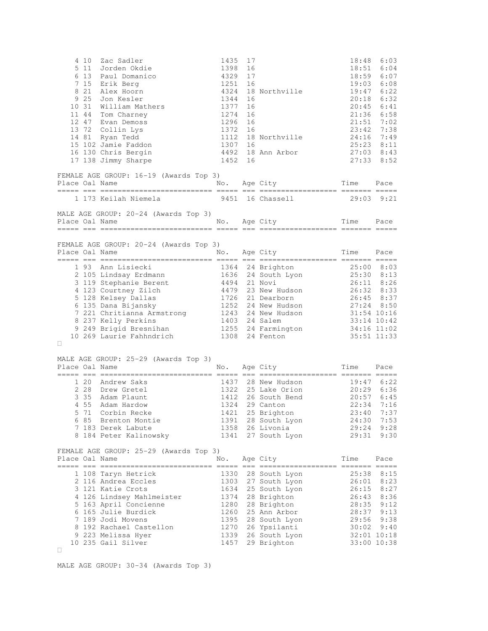|                | 4 10<br>5 11<br>9 25<br>10 31<br>11 44 | Zac Sadler<br>Jorden Okdie<br>6 13 Paul Domanico<br>7 15 Erik Berg<br>8 21 Alex Hoorn<br>Jon Kesler<br>William Mathers<br>Tom Charney<br>12 47 Evan Demoss<br>13 72 Collin Lys<br>14 81 Ryan Tedd<br>15 102 Jamie Faddon<br>16 130 Chris Bergin<br>17 138 Jimmy Sharpe                        | 1435<br>1398<br>4329<br>1251<br>4324<br>1344<br>1377<br>1274<br>1296<br>1372<br>1112<br>1307<br>4492<br>1452 | 17<br>16<br>17<br>16<br>16<br>16<br>16<br>16<br>16<br>16<br>16 | 18 Northville<br>18 Northville<br>18 Ann Arbor                                                                                                                 | 18:48<br>18:51<br>19:03<br>19:47<br>20:18<br>20:45<br>23:42<br>24:16 7:49<br>25:23 8:11 | 6:03<br>6:04<br>18:59 6:07<br>6:08<br>6:22<br>6:32<br>6:41<br>$21:36$ $6:58$<br>$21:51$ 7:02<br>7:38<br>$27:03$ 8:43<br>$27:33$ $8:52$                           |
|----------------|----------------------------------------|-----------------------------------------------------------------------------------------------------------------------------------------------------------------------------------------------------------------------------------------------------------------------------------------------|--------------------------------------------------------------------------------------------------------------|----------------------------------------------------------------|----------------------------------------------------------------------------------------------------------------------------------------------------------------|-----------------------------------------------------------------------------------------|------------------------------------------------------------------------------------------------------------------------------------------------------------------|
| Place Oal Name |                                        | FEMALE AGE GROUP: 16-19 (Awards Top 3)                                                                                                                                                                                                                                                        | No.                                                                                                          |                                                                | Age City                                                                                                                                                       | Time                                                                                    | Pace                                                                                                                                                             |
|                |                                        | 1 173 Keilah Niemela                                                                                                                                                                                                                                                                          |                                                                                                              |                                                                | 9451 16 Chassell                                                                                                                                               |                                                                                         | $29:03$ $9:21$                                                                                                                                                   |
| Place Oal Name |                                        | MALE AGE GROUP: 20-24 (Awards Top 3)                                                                                                                                                                                                                                                          |                                                                                                              |                                                                | No. Age City                                                                                                                                                   | Time                                                                                    | Pace                                                                                                                                                             |
| Place Oal Name |                                        | FEMALE AGE GROUP: 20-24 (Awards Top 3)                                                                                                                                                                                                                                                        |                                                                                                              |                                                                | No. Age City                                                                                                                                                   | Time Pace                                                                               |                                                                                                                                                                  |
|                |                                        | 3 119 Stephanie Berent<br>4 123 Courtney Zilch<br>5 128 Kelsey Dallas<br>6 135 Dana Bijansky<br>7 221 Chritianna Armstrong 1243 24 New Hudson<br>1243 24 New Hudson<br>9 237 Kelly Perkins<br>9 249 Brigid Bresnihan<br>0 269 Laurie Fahhndrich<br>1308 24 Fenton<br>10 269 Laurie Fahhndrich | 4479<br>1726<br>1252                                                                                         |                                                                | 4494 21 Novi<br>23 New Hudson<br>21 Dearborn                                                                                                                   | 25:30 8:13<br>26:11 8:26<br>26:32 8:33<br>26:45 8:37<br>34:16 11:02                     | $25:00$ 8:03<br>$27:24$ 8:50<br>31:54 10:16<br>33:14 10:42<br>35:51 11:33                                                                                        |
| Place Oal Name |                                        | MALE AGE GROUP: 25-29 (Awards Top 3)<br>=== === ========                                                                                                                                                                                                                                      | No.                                                                                                          |                                                                | Age City                                                                                                                                                       | Time<br>------ ------- -----                                                            | Pace                                                                                                                                                             |
|                | 5 71                                   | 1 20 Andrew Saks<br>2 28 Drew Gretel<br>3 35 Adam Plaunt<br>4 55 Adam Hardow<br>Corbin Recke<br>6 85 Brenton Montie<br>7 183 Derek Labute<br>8 184 Peter Kalinowsky                                                                                                                           | 1412<br>1324<br>1421<br>1341                                                                                 |                                                                | 1437 28 New Hudson<br>1322 25 Lake Orion<br>26 South Bend<br>29 Canton<br>25 Brighton<br>1391 28 South Lyon<br>1358 26 Livonia<br>27 South Lyon                | 20:29 6:36<br>22:34<br>23:40<br>24:30<br>29:24<br>29:31                                 | $19:47$ 6:22<br>$20:57$ 6:45<br>7:16<br>7:37<br>7:53<br>9:28<br>9:30                                                                                             |
| Place Oal Name |                                        | FEMALE AGE GROUP: 25-29 (Awards Top 3)                                                                                                                                                                                                                                                        | No.                                                                                                          |                                                                | Age City                                                                                                                                                       | Time                                                                                    | Pace                                                                                                                                                             |
|                |                                        | 1 108 Taryn Hetrick<br>2 116 Andrea Eccles<br>3 121 Katie Crots<br>4 126 Lindsey Mahlmeister<br>5 163 April Concienne<br>6 165 Julie Burdick<br>7 189 Jodi Movens<br>8 192 Rachael Castellon<br>9 223 Melissa Hyer<br>10 235 Gail Silver                                                      | 1330<br>1303<br>1634<br>1374<br>1280<br>1260<br>1395<br>1270<br>1339<br>1457                                 |                                                                | 28 South Lyon<br>27 South Lyon<br>25 South Lyon<br>28 Brighton<br>28 Brighton<br>25 Ann Arbor<br>28 South Lyon<br>26 Ypsilanti<br>26 South Lyon<br>29 Brighton |                                                                                         | 25:38 8:15<br>$26:01$ 8:23<br>$26:15$ 8:27<br>$26:43$ $8:36$<br>$28:35$ $9:12$<br>$28:37$ $9:13$<br>$29:56$ $9:38$<br>$30:02$ 9:40<br>32:01 10:18<br>33:00 10:38 |

MALE AGE GROUP: 30-34 (Awards Top 3)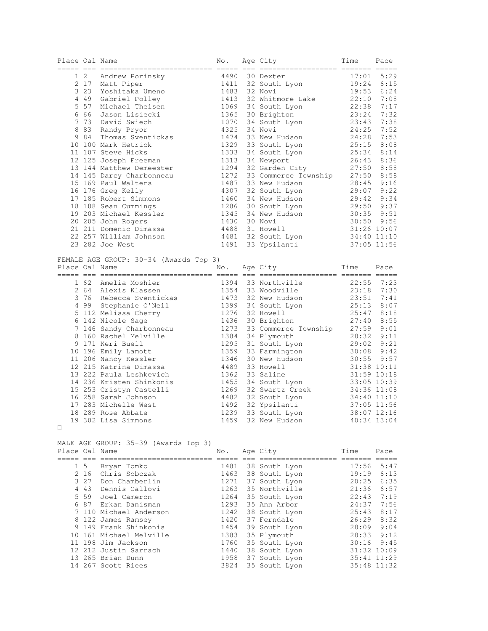| :== ==<br>===============================<br>4490<br>5:29<br>1 2<br>Andrew Porinsky<br>30 Dexter<br>17:01<br>2 17 Matt Piper<br>6:15<br>1411<br>32 South Lyon<br>19:24<br>3 2 3<br>1483<br>32 Novi<br>19:53<br>6:24<br>Yoshitaka Umeno<br>4 4 9<br>Gabriel Polley<br>1413<br>32 Whitmore Lake<br>22:10<br>7:08<br>5 5 7<br>Michael Theisen<br>1069<br>34 South Lyon<br>22:38<br>7:17<br>666<br>1365<br>7:32<br>30 Brighton<br>23:24<br>Jason Lisiecki<br>7 73<br>1070<br>7:38<br>David Swiech<br>34 South Lyon<br>23:43<br>8 8 3<br>4325<br>7:52<br>34 Novi<br>24:25<br>Randy Pryor<br>984<br>Thomas Sventickas<br>1474<br>7:53<br>33 New Hudson<br>24:28<br>10 100 Mark Hetrick<br>1329<br>33 South Lyon<br>25:15<br>8:08<br>11 107 Steve Hicks<br>1333<br>8:14<br>34 South Lyon<br>25:34<br>12 125 Joseph Freeman<br>1313<br>34 Newport<br>26:43<br>8:36<br>32 Garden City<br>1294<br>$27:50$ 8:58<br>13 144 Matthew Demeester<br>14 145 Darcy Charbonneau<br>1272<br>8:58<br>33 Commerce Township<br>27:50<br>15 169 Paul Walters<br>1487<br>33 New Hudson<br>28:45 9:16<br>4307<br>$29:07$ $9:22$<br>16 176 Greg Kelly<br>32 South Lyon<br>1460<br>9:34<br>17 185 Robert Simmons<br>34 New Hudson<br>29:42<br>1286<br>29:50 9:37<br>18 188 Sean Cummings<br>30 South Lyon<br>1345<br>$30:35$ $9:51$<br>19 203 Michael Kessler<br>34 New Hudson<br>1430<br>9:56<br>20 205 John Rogers<br>30 Novi<br>30:50<br>21 211 Domenic Dimassa<br>4488<br>31 Howell<br>31:26 10:07<br>32 South Lyon<br>22 257 William Johnson<br>4481<br>34:40 11:10<br>23 282 Joe West<br>37:05 11:56<br>1491<br>33 Ypsilanti<br>FEMALE AGE GROUP: 30-34 (Awards Top 3)<br>Place Oal Name<br>Age City<br>No.<br>Time<br>Pace<br>1394 33 Northville<br>$22:55$ 7:23<br>1 62 Amelia Moshier<br>2 64 Alexis Klassen<br>$23:18$ 7:30<br>1354 33 Woodville<br>3 76 Rebecca Sventickas<br>1473 32 New Hudson<br>23:51 7:41<br>1399 34 South Lyon<br>4 99 Stephanie O'Neil<br>25:13<br>8:07<br>5 112 Melissa Cherry<br>1276<br>32 Howell<br>25:47<br>8:18<br>1436<br>$27:40$ 8:55<br>6 142 Nicole Sage<br>30 Brighton<br>1273<br>7 146 Sandy Charbonneau<br>33 Commerce Township<br>34 Dlumouth<br>$27:59$ $9:01$<br>1384<br>8 160 Rachel Melville<br>34 Plymouth<br>28:32 9:11<br>9 171 Keri Buell<br>1295<br>9:21<br>31 South Lyon<br>29:02<br>1359<br>10 196 Emily Lamott<br>33 Farmington<br>30:08<br>9:42<br>1346<br>9:57<br>11 206 Nancy Kessler<br>30 New Hudson<br>30:55<br>4489<br>12 215 Katrina Dimassa<br>33 Howell<br>31:38 10:11<br>1362<br>13 222 Paula Leshkevich<br>33 Saline<br>31:59 10:18<br>1455<br>14 236 Kristen Shinkonis<br>34 South Lyon<br>33:05 10:39<br>1269<br>15 253 Cristyn Castelli<br>32 Swartz Creek<br>34:36 11:08<br>16 258 Sarah Johnson<br>4482<br>32 South Lyon<br>34:40 11:10<br>17 283 Michelle West<br>1492<br>32 Ypsilanti<br>37:05 11:56<br>1239<br>33 South Lyon<br>18 289 Rose Abbate<br>38:07 12:16<br>19 302 Lisa Simmons<br>1459 32 New Hudson<br>40:34 13:04<br>MALE AGE GROUP: 35-39 (Awards Top 3)<br>Age City<br>Place Oal Name<br>Time<br>No.<br>Pace<br>$1\quad5$<br>Bryan Tomko<br>1481<br>38 South Lyon<br>$17:56$ 5:47<br>2 16 Chris Sobczak<br>1463 38 South Lyon<br>$19:19 \quad 6:13$<br>3 27 Don Chamberlin<br>1271<br>37 South Lyon<br>20:25<br>6:35<br>4 43 Dennis Callovi<br>1263<br>35 Northville<br>21:36<br>6:57<br>5 59 Joel Cameron<br>1264<br>35 South Lyon<br>22:43<br>7:19<br>6 87<br>Erkan Danisman<br>1293<br>35 Ann Arbor<br>7:56<br>24:37<br>7 110 Michael Anderson<br>1242<br>25:43<br>8:17<br>38 South Lyon<br>8 122 James Ramsey<br>1420<br>37 Ferndale<br>26:29<br>8:32<br>9 149 Frank Shinkonis<br>1454<br>39 South Lyon<br>28:09 9:04<br>10 161 Michael Melville<br>1383<br>35 Plymouth<br>28:33<br>9:12<br>11 198 Jim Jackson<br>35 South Lyon<br>1760<br>30:16<br>9:45<br>12 212 Justin Sarrach<br>1440<br>38 South Lyon<br>31:32 10:09<br>13 265 Brian Dunn<br>1958<br>37 South Lyon<br>35:41 11:29<br>14 267 Scott Riees<br>3824<br>35 South Lyon<br>35:48 11:32 | Place Oal Name |  | No. | Age City | Time | Pace |
|----------------------------------------------------------------------------------------------------------------------------------------------------------------------------------------------------------------------------------------------------------------------------------------------------------------------------------------------------------------------------------------------------------------------------------------------------------------------------------------------------------------------------------------------------------------------------------------------------------------------------------------------------------------------------------------------------------------------------------------------------------------------------------------------------------------------------------------------------------------------------------------------------------------------------------------------------------------------------------------------------------------------------------------------------------------------------------------------------------------------------------------------------------------------------------------------------------------------------------------------------------------------------------------------------------------------------------------------------------------------------------------------------------------------------------------------------------------------------------------------------------------------------------------------------------------------------------------------------------------------------------------------------------------------------------------------------------------------------------------------------------------------------------------------------------------------------------------------------------------------------------------------------------------------------------------------------------------------------------------------------------------------------------------------------------------------------------------------------------------------------------------------------------------------------------------------------------------------------------------------------------------------------------------------------------------------------------------------------------------------------------------------------------------------------------------------------------------------------------------------------------------------------------------------------------------------------------------------------------------------------------------------------------------------------------------------------------------------------------------------------------------------------------------------------------------------------------------------------------------------------------------------------------------------------------------------------------------------------------------------------------------------------------------------------------------------------------------------------------------------------------------------------------------------------------------------------------------------------------------------------------------------------------------------------------------------------------------------------------------------------------------------------------------------------------------------------------------------------------------------------------------------------------------------------------------------------------------------------------------------------------------------------------------------------------------------------------------------------------------------------------------------------------------------------------------------------------------------------------------------------------------------------------------------------------------------------------------------------------------------------------------------------|----------------|--|-----|----------|------|------|
|                                                                                                                                                                                                                                                                                                                                                                                                                                                                                                                                                                                                                                                                                                                                                                                                                                                                                                                                                                                                                                                                                                                                                                                                                                                                                                                                                                                                                                                                                                                                                                                                                                                                                                                                                                                                                                                                                                                                                                                                                                                                                                                                                                                                                                                                                                                                                                                                                                                                                                                                                                                                                                                                                                                                                                                                                                                                                                                                                                                                                                                                                                                                                                                                                                                                                                                                                                                                                                                                                                                                                                                                                                                                                                                                                                                                                                                                                                                                                                                                                            |                |  |     |          |      |      |
|                                                                                                                                                                                                                                                                                                                                                                                                                                                                                                                                                                                                                                                                                                                                                                                                                                                                                                                                                                                                                                                                                                                                                                                                                                                                                                                                                                                                                                                                                                                                                                                                                                                                                                                                                                                                                                                                                                                                                                                                                                                                                                                                                                                                                                                                                                                                                                                                                                                                                                                                                                                                                                                                                                                                                                                                                                                                                                                                                                                                                                                                                                                                                                                                                                                                                                                                                                                                                                                                                                                                                                                                                                                                                                                                                                                                                                                                                                                                                                                                                            |                |  |     |          |      |      |
|                                                                                                                                                                                                                                                                                                                                                                                                                                                                                                                                                                                                                                                                                                                                                                                                                                                                                                                                                                                                                                                                                                                                                                                                                                                                                                                                                                                                                                                                                                                                                                                                                                                                                                                                                                                                                                                                                                                                                                                                                                                                                                                                                                                                                                                                                                                                                                                                                                                                                                                                                                                                                                                                                                                                                                                                                                                                                                                                                                                                                                                                                                                                                                                                                                                                                                                                                                                                                                                                                                                                                                                                                                                                                                                                                                                                                                                                                                                                                                                                                            |                |  |     |          |      |      |
|                                                                                                                                                                                                                                                                                                                                                                                                                                                                                                                                                                                                                                                                                                                                                                                                                                                                                                                                                                                                                                                                                                                                                                                                                                                                                                                                                                                                                                                                                                                                                                                                                                                                                                                                                                                                                                                                                                                                                                                                                                                                                                                                                                                                                                                                                                                                                                                                                                                                                                                                                                                                                                                                                                                                                                                                                                                                                                                                                                                                                                                                                                                                                                                                                                                                                                                                                                                                                                                                                                                                                                                                                                                                                                                                                                                                                                                                                                                                                                                                                            |                |  |     |          |      |      |
|                                                                                                                                                                                                                                                                                                                                                                                                                                                                                                                                                                                                                                                                                                                                                                                                                                                                                                                                                                                                                                                                                                                                                                                                                                                                                                                                                                                                                                                                                                                                                                                                                                                                                                                                                                                                                                                                                                                                                                                                                                                                                                                                                                                                                                                                                                                                                                                                                                                                                                                                                                                                                                                                                                                                                                                                                                                                                                                                                                                                                                                                                                                                                                                                                                                                                                                                                                                                                                                                                                                                                                                                                                                                                                                                                                                                                                                                                                                                                                                                                            |                |  |     |          |      |      |
|                                                                                                                                                                                                                                                                                                                                                                                                                                                                                                                                                                                                                                                                                                                                                                                                                                                                                                                                                                                                                                                                                                                                                                                                                                                                                                                                                                                                                                                                                                                                                                                                                                                                                                                                                                                                                                                                                                                                                                                                                                                                                                                                                                                                                                                                                                                                                                                                                                                                                                                                                                                                                                                                                                                                                                                                                                                                                                                                                                                                                                                                                                                                                                                                                                                                                                                                                                                                                                                                                                                                                                                                                                                                                                                                                                                                                                                                                                                                                                                                                            |                |  |     |          |      |      |
|                                                                                                                                                                                                                                                                                                                                                                                                                                                                                                                                                                                                                                                                                                                                                                                                                                                                                                                                                                                                                                                                                                                                                                                                                                                                                                                                                                                                                                                                                                                                                                                                                                                                                                                                                                                                                                                                                                                                                                                                                                                                                                                                                                                                                                                                                                                                                                                                                                                                                                                                                                                                                                                                                                                                                                                                                                                                                                                                                                                                                                                                                                                                                                                                                                                                                                                                                                                                                                                                                                                                                                                                                                                                                                                                                                                                                                                                                                                                                                                                                            |                |  |     |          |      |      |
|                                                                                                                                                                                                                                                                                                                                                                                                                                                                                                                                                                                                                                                                                                                                                                                                                                                                                                                                                                                                                                                                                                                                                                                                                                                                                                                                                                                                                                                                                                                                                                                                                                                                                                                                                                                                                                                                                                                                                                                                                                                                                                                                                                                                                                                                                                                                                                                                                                                                                                                                                                                                                                                                                                                                                                                                                                                                                                                                                                                                                                                                                                                                                                                                                                                                                                                                                                                                                                                                                                                                                                                                                                                                                                                                                                                                                                                                                                                                                                                                                            |                |  |     |          |      |      |
|                                                                                                                                                                                                                                                                                                                                                                                                                                                                                                                                                                                                                                                                                                                                                                                                                                                                                                                                                                                                                                                                                                                                                                                                                                                                                                                                                                                                                                                                                                                                                                                                                                                                                                                                                                                                                                                                                                                                                                                                                                                                                                                                                                                                                                                                                                                                                                                                                                                                                                                                                                                                                                                                                                                                                                                                                                                                                                                                                                                                                                                                                                                                                                                                                                                                                                                                                                                                                                                                                                                                                                                                                                                                                                                                                                                                                                                                                                                                                                                                                            |                |  |     |          |      |      |
|                                                                                                                                                                                                                                                                                                                                                                                                                                                                                                                                                                                                                                                                                                                                                                                                                                                                                                                                                                                                                                                                                                                                                                                                                                                                                                                                                                                                                                                                                                                                                                                                                                                                                                                                                                                                                                                                                                                                                                                                                                                                                                                                                                                                                                                                                                                                                                                                                                                                                                                                                                                                                                                                                                                                                                                                                                                                                                                                                                                                                                                                                                                                                                                                                                                                                                                                                                                                                                                                                                                                                                                                                                                                                                                                                                                                                                                                                                                                                                                                                            |                |  |     |          |      |      |
|                                                                                                                                                                                                                                                                                                                                                                                                                                                                                                                                                                                                                                                                                                                                                                                                                                                                                                                                                                                                                                                                                                                                                                                                                                                                                                                                                                                                                                                                                                                                                                                                                                                                                                                                                                                                                                                                                                                                                                                                                                                                                                                                                                                                                                                                                                                                                                                                                                                                                                                                                                                                                                                                                                                                                                                                                                                                                                                                                                                                                                                                                                                                                                                                                                                                                                                                                                                                                                                                                                                                                                                                                                                                                                                                                                                                                                                                                                                                                                                                                            |                |  |     |          |      |      |
|                                                                                                                                                                                                                                                                                                                                                                                                                                                                                                                                                                                                                                                                                                                                                                                                                                                                                                                                                                                                                                                                                                                                                                                                                                                                                                                                                                                                                                                                                                                                                                                                                                                                                                                                                                                                                                                                                                                                                                                                                                                                                                                                                                                                                                                                                                                                                                                                                                                                                                                                                                                                                                                                                                                                                                                                                                                                                                                                                                                                                                                                                                                                                                                                                                                                                                                                                                                                                                                                                                                                                                                                                                                                                                                                                                                                                                                                                                                                                                                                                            |                |  |     |          |      |      |
|                                                                                                                                                                                                                                                                                                                                                                                                                                                                                                                                                                                                                                                                                                                                                                                                                                                                                                                                                                                                                                                                                                                                                                                                                                                                                                                                                                                                                                                                                                                                                                                                                                                                                                                                                                                                                                                                                                                                                                                                                                                                                                                                                                                                                                                                                                                                                                                                                                                                                                                                                                                                                                                                                                                                                                                                                                                                                                                                                                                                                                                                                                                                                                                                                                                                                                                                                                                                                                                                                                                                                                                                                                                                                                                                                                                                                                                                                                                                                                                                                            |                |  |     |          |      |      |
|                                                                                                                                                                                                                                                                                                                                                                                                                                                                                                                                                                                                                                                                                                                                                                                                                                                                                                                                                                                                                                                                                                                                                                                                                                                                                                                                                                                                                                                                                                                                                                                                                                                                                                                                                                                                                                                                                                                                                                                                                                                                                                                                                                                                                                                                                                                                                                                                                                                                                                                                                                                                                                                                                                                                                                                                                                                                                                                                                                                                                                                                                                                                                                                                                                                                                                                                                                                                                                                                                                                                                                                                                                                                                                                                                                                                                                                                                                                                                                                                                            |                |  |     |          |      |      |
|                                                                                                                                                                                                                                                                                                                                                                                                                                                                                                                                                                                                                                                                                                                                                                                                                                                                                                                                                                                                                                                                                                                                                                                                                                                                                                                                                                                                                                                                                                                                                                                                                                                                                                                                                                                                                                                                                                                                                                                                                                                                                                                                                                                                                                                                                                                                                                                                                                                                                                                                                                                                                                                                                                                                                                                                                                                                                                                                                                                                                                                                                                                                                                                                                                                                                                                                                                                                                                                                                                                                                                                                                                                                                                                                                                                                                                                                                                                                                                                                                            |                |  |     |          |      |      |
|                                                                                                                                                                                                                                                                                                                                                                                                                                                                                                                                                                                                                                                                                                                                                                                                                                                                                                                                                                                                                                                                                                                                                                                                                                                                                                                                                                                                                                                                                                                                                                                                                                                                                                                                                                                                                                                                                                                                                                                                                                                                                                                                                                                                                                                                                                                                                                                                                                                                                                                                                                                                                                                                                                                                                                                                                                                                                                                                                                                                                                                                                                                                                                                                                                                                                                                                                                                                                                                                                                                                                                                                                                                                                                                                                                                                                                                                                                                                                                                                                            |                |  |     |          |      |      |
|                                                                                                                                                                                                                                                                                                                                                                                                                                                                                                                                                                                                                                                                                                                                                                                                                                                                                                                                                                                                                                                                                                                                                                                                                                                                                                                                                                                                                                                                                                                                                                                                                                                                                                                                                                                                                                                                                                                                                                                                                                                                                                                                                                                                                                                                                                                                                                                                                                                                                                                                                                                                                                                                                                                                                                                                                                                                                                                                                                                                                                                                                                                                                                                                                                                                                                                                                                                                                                                                                                                                                                                                                                                                                                                                                                                                                                                                                                                                                                                                                            |                |  |     |          |      |      |
|                                                                                                                                                                                                                                                                                                                                                                                                                                                                                                                                                                                                                                                                                                                                                                                                                                                                                                                                                                                                                                                                                                                                                                                                                                                                                                                                                                                                                                                                                                                                                                                                                                                                                                                                                                                                                                                                                                                                                                                                                                                                                                                                                                                                                                                                                                                                                                                                                                                                                                                                                                                                                                                                                                                                                                                                                                                                                                                                                                                                                                                                                                                                                                                                                                                                                                                                                                                                                                                                                                                                                                                                                                                                                                                                                                                                                                                                                                                                                                                                                            |                |  |     |          |      |      |
|                                                                                                                                                                                                                                                                                                                                                                                                                                                                                                                                                                                                                                                                                                                                                                                                                                                                                                                                                                                                                                                                                                                                                                                                                                                                                                                                                                                                                                                                                                                                                                                                                                                                                                                                                                                                                                                                                                                                                                                                                                                                                                                                                                                                                                                                                                                                                                                                                                                                                                                                                                                                                                                                                                                                                                                                                                                                                                                                                                                                                                                                                                                                                                                                                                                                                                                                                                                                                                                                                                                                                                                                                                                                                                                                                                                                                                                                                                                                                                                                                            |                |  |     |          |      |      |
|                                                                                                                                                                                                                                                                                                                                                                                                                                                                                                                                                                                                                                                                                                                                                                                                                                                                                                                                                                                                                                                                                                                                                                                                                                                                                                                                                                                                                                                                                                                                                                                                                                                                                                                                                                                                                                                                                                                                                                                                                                                                                                                                                                                                                                                                                                                                                                                                                                                                                                                                                                                                                                                                                                                                                                                                                                                                                                                                                                                                                                                                                                                                                                                                                                                                                                                                                                                                                                                                                                                                                                                                                                                                                                                                                                                                                                                                                                                                                                                                                            |                |  |     |          |      |      |
|                                                                                                                                                                                                                                                                                                                                                                                                                                                                                                                                                                                                                                                                                                                                                                                                                                                                                                                                                                                                                                                                                                                                                                                                                                                                                                                                                                                                                                                                                                                                                                                                                                                                                                                                                                                                                                                                                                                                                                                                                                                                                                                                                                                                                                                                                                                                                                                                                                                                                                                                                                                                                                                                                                                                                                                                                                                                                                                                                                                                                                                                                                                                                                                                                                                                                                                                                                                                                                                                                                                                                                                                                                                                                                                                                                                                                                                                                                                                                                                                                            |                |  |     |          |      |      |
|                                                                                                                                                                                                                                                                                                                                                                                                                                                                                                                                                                                                                                                                                                                                                                                                                                                                                                                                                                                                                                                                                                                                                                                                                                                                                                                                                                                                                                                                                                                                                                                                                                                                                                                                                                                                                                                                                                                                                                                                                                                                                                                                                                                                                                                                                                                                                                                                                                                                                                                                                                                                                                                                                                                                                                                                                                                                                                                                                                                                                                                                                                                                                                                                                                                                                                                                                                                                                                                                                                                                                                                                                                                                                                                                                                                                                                                                                                                                                                                                                            |                |  |     |          |      |      |
|                                                                                                                                                                                                                                                                                                                                                                                                                                                                                                                                                                                                                                                                                                                                                                                                                                                                                                                                                                                                                                                                                                                                                                                                                                                                                                                                                                                                                                                                                                                                                                                                                                                                                                                                                                                                                                                                                                                                                                                                                                                                                                                                                                                                                                                                                                                                                                                                                                                                                                                                                                                                                                                                                                                                                                                                                                                                                                                                                                                                                                                                                                                                                                                                                                                                                                                                                                                                                                                                                                                                                                                                                                                                                                                                                                                                                                                                                                                                                                                                                            |                |  |     |          |      |      |
|                                                                                                                                                                                                                                                                                                                                                                                                                                                                                                                                                                                                                                                                                                                                                                                                                                                                                                                                                                                                                                                                                                                                                                                                                                                                                                                                                                                                                                                                                                                                                                                                                                                                                                                                                                                                                                                                                                                                                                                                                                                                                                                                                                                                                                                                                                                                                                                                                                                                                                                                                                                                                                                                                                                                                                                                                                                                                                                                                                                                                                                                                                                                                                                                                                                                                                                                                                                                                                                                                                                                                                                                                                                                                                                                                                                                                                                                                                                                                                                                                            |                |  |     |          |      |      |
|                                                                                                                                                                                                                                                                                                                                                                                                                                                                                                                                                                                                                                                                                                                                                                                                                                                                                                                                                                                                                                                                                                                                                                                                                                                                                                                                                                                                                                                                                                                                                                                                                                                                                                                                                                                                                                                                                                                                                                                                                                                                                                                                                                                                                                                                                                                                                                                                                                                                                                                                                                                                                                                                                                                                                                                                                                                                                                                                                                                                                                                                                                                                                                                                                                                                                                                                                                                                                                                                                                                                                                                                                                                                                                                                                                                                                                                                                                                                                                                                                            |                |  |     |          |      |      |
|                                                                                                                                                                                                                                                                                                                                                                                                                                                                                                                                                                                                                                                                                                                                                                                                                                                                                                                                                                                                                                                                                                                                                                                                                                                                                                                                                                                                                                                                                                                                                                                                                                                                                                                                                                                                                                                                                                                                                                                                                                                                                                                                                                                                                                                                                                                                                                                                                                                                                                                                                                                                                                                                                                                                                                                                                                                                                                                                                                                                                                                                                                                                                                                                                                                                                                                                                                                                                                                                                                                                                                                                                                                                                                                                                                                                                                                                                                                                                                                                                            |                |  |     |          |      |      |
|                                                                                                                                                                                                                                                                                                                                                                                                                                                                                                                                                                                                                                                                                                                                                                                                                                                                                                                                                                                                                                                                                                                                                                                                                                                                                                                                                                                                                                                                                                                                                                                                                                                                                                                                                                                                                                                                                                                                                                                                                                                                                                                                                                                                                                                                                                                                                                                                                                                                                                                                                                                                                                                                                                                                                                                                                                                                                                                                                                                                                                                                                                                                                                                                                                                                                                                                                                                                                                                                                                                                                                                                                                                                                                                                                                                                                                                                                                                                                                                                                            |                |  |     |          |      |      |
|                                                                                                                                                                                                                                                                                                                                                                                                                                                                                                                                                                                                                                                                                                                                                                                                                                                                                                                                                                                                                                                                                                                                                                                                                                                                                                                                                                                                                                                                                                                                                                                                                                                                                                                                                                                                                                                                                                                                                                                                                                                                                                                                                                                                                                                                                                                                                                                                                                                                                                                                                                                                                                                                                                                                                                                                                                                                                                                                                                                                                                                                                                                                                                                                                                                                                                                                                                                                                                                                                                                                                                                                                                                                                                                                                                                                                                                                                                                                                                                                                            |                |  |     |          |      |      |
|                                                                                                                                                                                                                                                                                                                                                                                                                                                                                                                                                                                                                                                                                                                                                                                                                                                                                                                                                                                                                                                                                                                                                                                                                                                                                                                                                                                                                                                                                                                                                                                                                                                                                                                                                                                                                                                                                                                                                                                                                                                                                                                                                                                                                                                                                                                                                                                                                                                                                                                                                                                                                                                                                                                                                                                                                                                                                                                                                                                                                                                                                                                                                                                                                                                                                                                                                                                                                                                                                                                                                                                                                                                                                                                                                                                                                                                                                                                                                                                                                            |                |  |     |          |      |      |
|                                                                                                                                                                                                                                                                                                                                                                                                                                                                                                                                                                                                                                                                                                                                                                                                                                                                                                                                                                                                                                                                                                                                                                                                                                                                                                                                                                                                                                                                                                                                                                                                                                                                                                                                                                                                                                                                                                                                                                                                                                                                                                                                                                                                                                                                                                                                                                                                                                                                                                                                                                                                                                                                                                                                                                                                                                                                                                                                                                                                                                                                                                                                                                                                                                                                                                                                                                                                                                                                                                                                                                                                                                                                                                                                                                                                                                                                                                                                                                                                                            |                |  |     |          |      |      |
|                                                                                                                                                                                                                                                                                                                                                                                                                                                                                                                                                                                                                                                                                                                                                                                                                                                                                                                                                                                                                                                                                                                                                                                                                                                                                                                                                                                                                                                                                                                                                                                                                                                                                                                                                                                                                                                                                                                                                                                                                                                                                                                                                                                                                                                                                                                                                                                                                                                                                                                                                                                                                                                                                                                                                                                                                                                                                                                                                                                                                                                                                                                                                                                                                                                                                                                                                                                                                                                                                                                                                                                                                                                                                                                                                                                                                                                                                                                                                                                                                            |                |  |     |          |      |      |
|                                                                                                                                                                                                                                                                                                                                                                                                                                                                                                                                                                                                                                                                                                                                                                                                                                                                                                                                                                                                                                                                                                                                                                                                                                                                                                                                                                                                                                                                                                                                                                                                                                                                                                                                                                                                                                                                                                                                                                                                                                                                                                                                                                                                                                                                                                                                                                                                                                                                                                                                                                                                                                                                                                                                                                                                                                                                                                                                                                                                                                                                                                                                                                                                                                                                                                                                                                                                                                                                                                                                                                                                                                                                                                                                                                                                                                                                                                                                                                                                                            |                |  |     |          |      |      |
|                                                                                                                                                                                                                                                                                                                                                                                                                                                                                                                                                                                                                                                                                                                                                                                                                                                                                                                                                                                                                                                                                                                                                                                                                                                                                                                                                                                                                                                                                                                                                                                                                                                                                                                                                                                                                                                                                                                                                                                                                                                                                                                                                                                                                                                                                                                                                                                                                                                                                                                                                                                                                                                                                                                                                                                                                                                                                                                                                                                                                                                                                                                                                                                                                                                                                                                                                                                                                                                                                                                                                                                                                                                                                                                                                                                                                                                                                                                                                                                                                            |                |  |     |          |      |      |
|                                                                                                                                                                                                                                                                                                                                                                                                                                                                                                                                                                                                                                                                                                                                                                                                                                                                                                                                                                                                                                                                                                                                                                                                                                                                                                                                                                                                                                                                                                                                                                                                                                                                                                                                                                                                                                                                                                                                                                                                                                                                                                                                                                                                                                                                                                                                                                                                                                                                                                                                                                                                                                                                                                                                                                                                                                                                                                                                                                                                                                                                                                                                                                                                                                                                                                                                                                                                                                                                                                                                                                                                                                                                                                                                                                                                                                                                                                                                                                                                                            |                |  |     |          |      |      |
|                                                                                                                                                                                                                                                                                                                                                                                                                                                                                                                                                                                                                                                                                                                                                                                                                                                                                                                                                                                                                                                                                                                                                                                                                                                                                                                                                                                                                                                                                                                                                                                                                                                                                                                                                                                                                                                                                                                                                                                                                                                                                                                                                                                                                                                                                                                                                                                                                                                                                                                                                                                                                                                                                                                                                                                                                                                                                                                                                                                                                                                                                                                                                                                                                                                                                                                                                                                                                                                                                                                                                                                                                                                                                                                                                                                                                                                                                                                                                                                                                            |                |  |     |          |      |      |
|                                                                                                                                                                                                                                                                                                                                                                                                                                                                                                                                                                                                                                                                                                                                                                                                                                                                                                                                                                                                                                                                                                                                                                                                                                                                                                                                                                                                                                                                                                                                                                                                                                                                                                                                                                                                                                                                                                                                                                                                                                                                                                                                                                                                                                                                                                                                                                                                                                                                                                                                                                                                                                                                                                                                                                                                                                                                                                                                                                                                                                                                                                                                                                                                                                                                                                                                                                                                                                                                                                                                                                                                                                                                                                                                                                                                                                                                                                                                                                                                                            |                |  |     |          |      |      |
|                                                                                                                                                                                                                                                                                                                                                                                                                                                                                                                                                                                                                                                                                                                                                                                                                                                                                                                                                                                                                                                                                                                                                                                                                                                                                                                                                                                                                                                                                                                                                                                                                                                                                                                                                                                                                                                                                                                                                                                                                                                                                                                                                                                                                                                                                                                                                                                                                                                                                                                                                                                                                                                                                                                                                                                                                                                                                                                                                                                                                                                                                                                                                                                                                                                                                                                                                                                                                                                                                                                                                                                                                                                                                                                                                                                                                                                                                                                                                                                                                            |                |  |     |          |      |      |
|                                                                                                                                                                                                                                                                                                                                                                                                                                                                                                                                                                                                                                                                                                                                                                                                                                                                                                                                                                                                                                                                                                                                                                                                                                                                                                                                                                                                                                                                                                                                                                                                                                                                                                                                                                                                                                                                                                                                                                                                                                                                                                                                                                                                                                                                                                                                                                                                                                                                                                                                                                                                                                                                                                                                                                                                                                                                                                                                                                                                                                                                                                                                                                                                                                                                                                                                                                                                                                                                                                                                                                                                                                                                                                                                                                                                                                                                                                                                                                                                                            |                |  |     |          |      |      |
|                                                                                                                                                                                                                                                                                                                                                                                                                                                                                                                                                                                                                                                                                                                                                                                                                                                                                                                                                                                                                                                                                                                                                                                                                                                                                                                                                                                                                                                                                                                                                                                                                                                                                                                                                                                                                                                                                                                                                                                                                                                                                                                                                                                                                                                                                                                                                                                                                                                                                                                                                                                                                                                                                                                                                                                                                                                                                                                                                                                                                                                                                                                                                                                                                                                                                                                                                                                                                                                                                                                                                                                                                                                                                                                                                                                                                                                                                                                                                                                                                            |                |  |     |          |      |      |
|                                                                                                                                                                                                                                                                                                                                                                                                                                                                                                                                                                                                                                                                                                                                                                                                                                                                                                                                                                                                                                                                                                                                                                                                                                                                                                                                                                                                                                                                                                                                                                                                                                                                                                                                                                                                                                                                                                                                                                                                                                                                                                                                                                                                                                                                                                                                                                                                                                                                                                                                                                                                                                                                                                                                                                                                                                                                                                                                                                                                                                                                                                                                                                                                                                                                                                                                                                                                                                                                                                                                                                                                                                                                                                                                                                                                                                                                                                                                                                                                                            |                |  |     |          |      |      |
|                                                                                                                                                                                                                                                                                                                                                                                                                                                                                                                                                                                                                                                                                                                                                                                                                                                                                                                                                                                                                                                                                                                                                                                                                                                                                                                                                                                                                                                                                                                                                                                                                                                                                                                                                                                                                                                                                                                                                                                                                                                                                                                                                                                                                                                                                                                                                                                                                                                                                                                                                                                                                                                                                                                                                                                                                                                                                                                                                                                                                                                                                                                                                                                                                                                                                                                                                                                                                                                                                                                                                                                                                                                                                                                                                                                                                                                                                                                                                                                                                            |                |  |     |          |      |      |
|                                                                                                                                                                                                                                                                                                                                                                                                                                                                                                                                                                                                                                                                                                                                                                                                                                                                                                                                                                                                                                                                                                                                                                                                                                                                                                                                                                                                                                                                                                                                                                                                                                                                                                                                                                                                                                                                                                                                                                                                                                                                                                                                                                                                                                                                                                                                                                                                                                                                                                                                                                                                                                                                                                                                                                                                                                                                                                                                                                                                                                                                                                                                                                                                                                                                                                                                                                                                                                                                                                                                                                                                                                                                                                                                                                                                                                                                                                                                                                                                                            |                |  |     |          |      |      |
|                                                                                                                                                                                                                                                                                                                                                                                                                                                                                                                                                                                                                                                                                                                                                                                                                                                                                                                                                                                                                                                                                                                                                                                                                                                                                                                                                                                                                                                                                                                                                                                                                                                                                                                                                                                                                                                                                                                                                                                                                                                                                                                                                                                                                                                                                                                                                                                                                                                                                                                                                                                                                                                                                                                                                                                                                                                                                                                                                                                                                                                                                                                                                                                                                                                                                                                                                                                                                                                                                                                                                                                                                                                                                                                                                                                                                                                                                                                                                                                                                            |                |  |     |          |      |      |
|                                                                                                                                                                                                                                                                                                                                                                                                                                                                                                                                                                                                                                                                                                                                                                                                                                                                                                                                                                                                                                                                                                                                                                                                                                                                                                                                                                                                                                                                                                                                                                                                                                                                                                                                                                                                                                                                                                                                                                                                                                                                                                                                                                                                                                                                                                                                                                                                                                                                                                                                                                                                                                                                                                                                                                                                                                                                                                                                                                                                                                                                                                                                                                                                                                                                                                                                                                                                                                                                                                                                                                                                                                                                                                                                                                                                                                                                                                                                                                                                                            |                |  |     |          |      |      |
|                                                                                                                                                                                                                                                                                                                                                                                                                                                                                                                                                                                                                                                                                                                                                                                                                                                                                                                                                                                                                                                                                                                                                                                                                                                                                                                                                                                                                                                                                                                                                                                                                                                                                                                                                                                                                                                                                                                                                                                                                                                                                                                                                                                                                                                                                                                                                                                                                                                                                                                                                                                                                                                                                                                                                                                                                                                                                                                                                                                                                                                                                                                                                                                                                                                                                                                                                                                                                                                                                                                                                                                                                                                                                                                                                                                                                                                                                                                                                                                                                            |                |  |     |          |      |      |
|                                                                                                                                                                                                                                                                                                                                                                                                                                                                                                                                                                                                                                                                                                                                                                                                                                                                                                                                                                                                                                                                                                                                                                                                                                                                                                                                                                                                                                                                                                                                                                                                                                                                                                                                                                                                                                                                                                                                                                                                                                                                                                                                                                                                                                                                                                                                                                                                                                                                                                                                                                                                                                                                                                                                                                                                                                                                                                                                                                                                                                                                                                                                                                                                                                                                                                                                                                                                                                                                                                                                                                                                                                                                                                                                                                                                                                                                                                                                                                                                                            |                |  |     |          |      |      |
|                                                                                                                                                                                                                                                                                                                                                                                                                                                                                                                                                                                                                                                                                                                                                                                                                                                                                                                                                                                                                                                                                                                                                                                                                                                                                                                                                                                                                                                                                                                                                                                                                                                                                                                                                                                                                                                                                                                                                                                                                                                                                                                                                                                                                                                                                                                                                                                                                                                                                                                                                                                                                                                                                                                                                                                                                                                                                                                                                                                                                                                                                                                                                                                                                                                                                                                                                                                                                                                                                                                                                                                                                                                                                                                                                                                                                                                                                                                                                                                                                            |                |  |     |          |      |      |
|                                                                                                                                                                                                                                                                                                                                                                                                                                                                                                                                                                                                                                                                                                                                                                                                                                                                                                                                                                                                                                                                                                                                                                                                                                                                                                                                                                                                                                                                                                                                                                                                                                                                                                                                                                                                                                                                                                                                                                                                                                                                                                                                                                                                                                                                                                                                                                                                                                                                                                                                                                                                                                                                                                                                                                                                                                                                                                                                                                                                                                                                                                                                                                                                                                                                                                                                                                                                                                                                                                                                                                                                                                                                                                                                                                                                                                                                                                                                                                                                                            |                |  |     |          |      |      |
|                                                                                                                                                                                                                                                                                                                                                                                                                                                                                                                                                                                                                                                                                                                                                                                                                                                                                                                                                                                                                                                                                                                                                                                                                                                                                                                                                                                                                                                                                                                                                                                                                                                                                                                                                                                                                                                                                                                                                                                                                                                                                                                                                                                                                                                                                                                                                                                                                                                                                                                                                                                                                                                                                                                                                                                                                                                                                                                                                                                                                                                                                                                                                                                                                                                                                                                                                                                                                                                                                                                                                                                                                                                                                                                                                                                                                                                                                                                                                                                                                            |                |  |     |          |      |      |
|                                                                                                                                                                                                                                                                                                                                                                                                                                                                                                                                                                                                                                                                                                                                                                                                                                                                                                                                                                                                                                                                                                                                                                                                                                                                                                                                                                                                                                                                                                                                                                                                                                                                                                                                                                                                                                                                                                                                                                                                                                                                                                                                                                                                                                                                                                                                                                                                                                                                                                                                                                                                                                                                                                                                                                                                                                                                                                                                                                                                                                                                                                                                                                                                                                                                                                                                                                                                                                                                                                                                                                                                                                                                                                                                                                                                                                                                                                                                                                                                                            |                |  |     |          |      |      |
|                                                                                                                                                                                                                                                                                                                                                                                                                                                                                                                                                                                                                                                                                                                                                                                                                                                                                                                                                                                                                                                                                                                                                                                                                                                                                                                                                                                                                                                                                                                                                                                                                                                                                                                                                                                                                                                                                                                                                                                                                                                                                                                                                                                                                                                                                                                                                                                                                                                                                                                                                                                                                                                                                                                                                                                                                                                                                                                                                                                                                                                                                                                                                                                                                                                                                                                                                                                                                                                                                                                                                                                                                                                                                                                                                                                                                                                                                                                                                                                                                            |                |  |     |          |      |      |
|                                                                                                                                                                                                                                                                                                                                                                                                                                                                                                                                                                                                                                                                                                                                                                                                                                                                                                                                                                                                                                                                                                                                                                                                                                                                                                                                                                                                                                                                                                                                                                                                                                                                                                                                                                                                                                                                                                                                                                                                                                                                                                                                                                                                                                                                                                                                                                                                                                                                                                                                                                                                                                                                                                                                                                                                                                                                                                                                                                                                                                                                                                                                                                                                                                                                                                                                                                                                                                                                                                                                                                                                                                                                                                                                                                                                                                                                                                                                                                                                                            |                |  |     |          |      |      |
|                                                                                                                                                                                                                                                                                                                                                                                                                                                                                                                                                                                                                                                                                                                                                                                                                                                                                                                                                                                                                                                                                                                                                                                                                                                                                                                                                                                                                                                                                                                                                                                                                                                                                                                                                                                                                                                                                                                                                                                                                                                                                                                                                                                                                                                                                                                                                                                                                                                                                                                                                                                                                                                                                                                                                                                                                                                                                                                                                                                                                                                                                                                                                                                                                                                                                                                                                                                                                                                                                                                                                                                                                                                                                                                                                                                                                                                                                                                                                                                                                            |                |  |     |          |      |      |
|                                                                                                                                                                                                                                                                                                                                                                                                                                                                                                                                                                                                                                                                                                                                                                                                                                                                                                                                                                                                                                                                                                                                                                                                                                                                                                                                                                                                                                                                                                                                                                                                                                                                                                                                                                                                                                                                                                                                                                                                                                                                                                                                                                                                                                                                                                                                                                                                                                                                                                                                                                                                                                                                                                                                                                                                                                                                                                                                                                                                                                                                                                                                                                                                                                                                                                                                                                                                                                                                                                                                                                                                                                                                                                                                                                                                                                                                                                                                                                                                                            |                |  |     |          |      |      |
|                                                                                                                                                                                                                                                                                                                                                                                                                                                                                                                                                                                                                                                                                                                                                                                                                                                                                                                                                                                                                                                                                                                                                                                                                                                                                                                                                                                                                                                                                                                                                                                                                                                                                                                                                                                                                                                                                                                                                                                                                                                                                                                                                                                                                                                                                                                                                                                                                                                                                                                                                                                                                                                                                                                                                                                                                                                                                                                                                                                                                                                                                                                                                                                                                                                                                                                                                                                                                                                                                                                                                                                                                                                                                                                                                                                                                                                                                                                                                                                                                            |                |  |     |          |      |      |
|                                                                                                                                                                                                                                                                                                                                                                                                                                                                                                                                                                                                                                                                                                                                                                                                                                                                                                                                                                                                                                                                                                                                                                                                                                                                                                                                                                                                                                                                                                                                                                                                                                                                                                                                                                                                                                                                                                                                                                                                                                                                                                                                                                                                                                                                                                                                                                                                                                                                                                                                                                                                                                                                                                                                                                                                                                                                                                                                                                                                                                                                                                                                                                                                                                                                                                                                                                                                                                                                                                                                                                                                                                                                                                                                                                                                                                                                                                                                                                                                                            |                |  |     |          |      |      |
|                                                                                                                                                                                                                                                                                                                                                                                                                                                                                                                                                                                                                                                                                                                                                                                                                                                                                                                                                                                                                                                                                                                                                                                                                                                                                                                                                                                                                                                                                                                                                                                                                                                                                                                                                                                                                                                                                                                                                                                                                                                                                                                                                                                                                                                                                                                                                                                                                                                                                                                                                                                                                                                                                                                                                                                                                                                                                                                                                                                                                                                                                                                                                                                                                                                                                                                                                                                                                                                                                                                                                                                                                                                                                                                                                                                                                                                                                                                                                                                                                            |                |  |     |          |      |      |
|                                                                                                                                                                                                                                                                                                                                                                                                                                                                                                                                                                                                                                                                                                                                                                                                                                                                                                                                                                                                                                                                                                                                                                                                                                                                                                                                                                                                                                                                                                                                                                                                                                                                                                                                                                                                                                                                                                                                                                                                                                                                                                                                                                                                                                                                                                                                                                                                                                                                                                                                                                                                                                                                                                                                                                                                                                                                                                                                                                                                                                                                                                                                                                                                                                                                                                                                                                                                                                                                                                                                                                                                                                                                                                                                                                                                                                                                                                                                                                                                                            |                |  |     |          |      |      |
|                                                                                                                                                                                                                                                                                                                                                                                                                                                                                                                                                                                                                                                                                                                                                                                                                                                                                                                                                                                                                                                                                                                                                                                                                                                                                                                                                                                                                                                                                                                                                                                                                                                                                                                                                                                                                                                                                                                                                                                                                                                                                                                                                                                                                                                                                                                                                                                                                                                                                                                                                                                                                                                                                                                                                                                                                                                                                                                                                                                                                                                                                                                                                                                                                                                                                                                                                                                                                                                                                                                                                                                                                                                                                                                                                                                                                                                                                                                                                                                                                            |                |  |     |          |      |      |
|                                                                                                                                                                                                                                                                                                                                                                                                                                                                                                                                                                                                                                                                                                                                                                                                                                                                                                                                                                                                                                                                                                                                                                                                                                                                                                                                                                                                                                                                                                                                                                                                                                                                                                                                                                                                                                                                                                                                                                                                                                                                                                                                                                                                                                                                                                                                                                                                                                                                                                                                                                                                                                                                                                                                                                                                                                                                                                                                                                                                                                                                                                                                                                                                                                                                                                                                                                                                                                                                                                                                                                                                                                                                                                                                                                                                                                                                                                                                                                                                                            |                |  |     |          |      |      |
|                                                                                                                                                                                                                                                                                                                                                                                                                                                                                                                                                                                                                                                                                                                                                                                                                                                                                                                                                                                                                                                                                                                                                                                                                                                                                                                                                                                                                                                                                                                                                                                                                                                                                                                                                                                                                                                                                                                                                                                                                                                                                                                                                                                                                                                                                                                                                                                                                                                                                                                                                                                                                                                                                                                                                                                                                                                                                                                                                                                                                                                                                                                                                                                                                                                                                                                                                                                                                                                                                                                                                                                                                                                                                                                                                                                                                                                                                                                                                                                                                            |                |  |     |          |      |      |
|                                                                                                                                                                                                                                                                                                                                                                                                                                                                                                                                                                                                                                                                                                                                                                                                                                                                                                                                                                                                                                                                                                                                                                                                                                                                                                                                                                                                                                                                                                                                                                                                                                                                                                                                                                                                                                                                                                                                                                                                                                                                                                                                                                                                                                                                                                                                                                                                                                                                                                                                                                                                                                                                                                                                                                                                                                                                                                                                                                                                                                                                                                                                                                                                                                                                                                                                                                                                                                                                                                                                                                                                                                                                                                                                                                                                                                                                                                                                                                                                                            |                |  |     |          |      |      |
|                                                                                                                                                                                                                                                                                                                                                                                                                                                                                                                                                                                                                                                                                                                                                                                                                                                                                                                                                                                                                                                                                                                                                                                                                                                                                                                                                                                                                                                                                                                                                                                                                                                                                                                                                                                                                                                                                                                                                                                                                                                                                                                                                                                                                                                                                                                                                                                                                                                                                                                                                                                                                                                                                                                                                                                                                                                                                                                                                                                                                                                                                                                                                                                                                                                                                                                                                                                                                                                                                                                                                                                                                                                                                                                                                                                                                                                                                                                                                                                                                            |                |  |     |          |      |      |
|                                                                                                                                                                                                                                                                                                                                                                                                                                                                                                                                                                                                                                                                                                                                                                                                                                                                                                                                                                                                                                                                                                                                                                                                                                                                                                                                                                                                                                                                                                                                                                                                                                                                                                                                                                                                                                                                                                                                                                                                                                                                                                                                                                                                                                                                                                                                                                                                                                                                                                                                                                                                                                                                                                                                                                                                                                                                                                                                                                                                                                                                                                                                                                                                                                                                                                                                                                                                                                                                                                                                                                                                                                                                                                                                                                                                                                                                                                                                                                                                                            |                |  |     |          |      |      |
|                                                                                                                                                                                                                                                                                                                                                                                                                                                                                                                                                                                                                                                                                                                                                                                                                                                                                                                                                                                                                                                                                                                                                                                                                                                                                                                                                                                                                                                                                                                                                                                                                                                                                                                                                                                                                                                                                                                                                                                                                                                                                                                                                                                                                                                                                                                                                                                                                                                                                                                                                                                                                                                                                                                                                                                                                                                                                                                                                                                                                                                                                                                                                                                                                                                                                                                                                                                                                                                                                                                                                                                                                                                                                                                                                                                                                                                                                                                                                                                                                            |                |  |     |          |      |      |
|                                                                                                                                                                                                                                                                                                                                                                                                                                                                                                                                                                                                                                                                                                                                                                                                                                                                                                                                                                                                                                                                                                                                                                                                                                                                                                                                                                                                                                                                                                                                                                                                                                                                                                                                                                                                                                                                                                                                                                                                                                                                                                                                                                                                                                                                                                                                                                                                                                                                                                                                                                                                                                                                                                                                                                                                                                                                                                                                                                                                                                                                                                                                                                                                                                                                                                                                                                                                                                                                                                                                                                                                                                                                                                                                                                                                                                                                                                                                                                                                                            |                |  |     |          |      |      |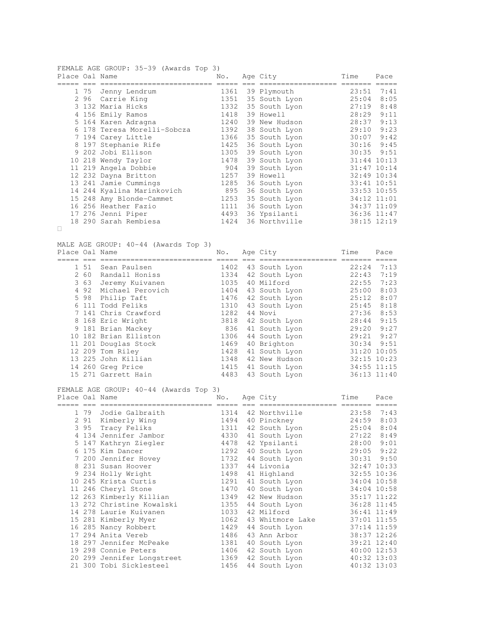FEMALE AGE GROUP: 35-39 (Awards Top 3)

| Place Oal Name |      |                             | No.  | Age City      | Time           | Pace            |
|----------------|------|-----------------------------|------|---------------|----------------|-----------------|
|                |      |                             |      |               |                |                 |
|                |      | 1 75 Jenny Lendrum          | 1361 | 39 Plymouth   | 23:51          | 7:41            |
|                | 2 96 | Carrie King                 | 1351 | 35 South Lyon | 25:04          | 8:05            |
|                |      | 3 132 Maria Hicks           | 1332 | 35 South Lyon | 27:19          | 8:48            |
|                |      | 4 156 Emily Ramos           | 1418 | 39 Howell     | 28:29          | 9:11            |
|                |      | 5 164 Karen Adragna         | 1240 | 39 New Hudson | 28:37          | 9:13            |
|                |      | 6 178 Teresa Morelli-Sobcza | 1392 | 38 South Lyon | 29:10          | 9:23            |
|                |      | 7 194 Carey Little          | 1366 | 35 South Lyon | 30:07          | 9:42            |
|                |      | 8 197 Stephanie Rife        | 1425 | 36 South Lyon | 30:16          | 9:45            |
|                |      | 9 202 Jobi Ellison          | 1305 | 39 South Lyon | $30:35$ $9:51$ |                 |
|                |      | 10 218 Wendy Taylor         | 1478 | 39 South Lyon |                | $31:44$ 10:13   |
|                |      | 11 219 Angela Dobbie        | 904  | 39 South Lyon |                | $31:47$ $10:14$ |
|                |      | 12 232 Dayna Britton        | 1257 | 39 Howell     |                | 32:49 10:34     |
|                |      | 13 241 Jamie Cummings       | 1285 | 36 South Lyon | 33:41 10:51    |                 |
|                |      | 14 244 Kyalina Marinkovich  | 895  | 36 South Lyon |                | 33:53 10:55     |
|                |      | 15 248 Amy Blonde-Cammet    | 1253 | 35 South Lyon | 34:12 11:01    |                 |
|                |      | 16 256 Heather Fazio        | 1111 | 36 South Lyon | 34:37 11:09    |                 |
|                |      | 17 276 Jenni Piper          | 4493 | 36 Ypsilanti  |                | 36:36 11:47     |
|                |      | 18 290 Sarah Rembiesa       | 1424 | 36 Northville |                | 38:15 12:19     |

MALE AGE GROUP: 40-44 (Awards Top 3)

| Place Oal Name |      |                       | No.  | Age City      | Time  | Pace            |
|----------------|------|-----------------------|------|---------------|-------|-----------------|
|                |      |                       |      |               |       |                 |
|                | 1 51 | Sean Paulsen          | 1402 | 43 South Lyon | 22:24 | 7:13            |
|                | 2 60 | Randall Honiss        | 1334 | 42 South Lyon | 22:43 | 7:19            |
|                | 3 63 | Jeremy Kuivanen       | 1035 | 40 Milford    | 22:55 | 7:23            |
|                | 492  | Michael Perovich      | 1404 | 43 South Lyon | 25:00 | 8:03            |
|                | 5 98 | Philip Taft           | 1476 | 42 South Lyon | 25:12 | 8:07            |
|                |      | 6 111 Todd Feliks     | 1310 | 43 South Lyon | 25:45 | 8:18            |
|                |      | 7 141 Chris Crawford  | 1282 | 44 Novi       | 27:36 | 8:53            |
|                |      | 8 168 Eric Wright     | 3818 | 42 South Lyon | 28:44 | 9:15            |
|                |      | 9 181 Brian Mackey    | 836  | 41 South Lyon | 29:20 | 9:27            |
|                |      | 10 182 Brian Elliston | 1306 | 44 South Lyon | 29:21 | 9:27            |
|                |      | 11 201 Douglas Stock  | 1469 | 40 Brighton   | 30:34 | 9:51            |
|                |      | 12 209 Tom Riley      | 1428 | 41 South Lyon |       | 31:20 10:05     |
|                |      | 13 225 John Killian   | 1348 | 42 New Hudson |       | $32:15$ $10:23$ |
|                |      | 14 260 Greg Price     | 1415 | 41 South Lyon |       | 34:55 11:15     |
|                |      | 15 271 Garrett Hain   | 4483 | 43 South Lyon |       | 36:13 11:40     |

FEMALE AGE GROUP: 40-44 (Awards Top 3)

| Place Oal Name |                            | No.  | Age City           | Time           | Pace        |
|----------------|----------------------------|------|--------------------|----------------|-------------|
|                |                            |      |                    |                |             |
|                | 1 79 Jodie Galbraith       |      | 1314 42 Northville | 23:58          | 7:43        |
|                | 2 91 Kimberly Wing         | 1494 | 40 Pinckney        | 24:59          | 8:03        |
|                | 3 95 Tracy Feliks          | 1311 | 42 South Lyon      | 25:04          | 8:04        |
|                | 4 134 Jennifer Jambor      | 4330 | 41 South Lyon      | 27:22          | 8:49        |
|                | 5 147 Kathryn Ziegler      | 4478 | 42 Ypsilanti       | 28:00          | 9:01        |
|                | 6 175 Kim Dancer           | 1292 | 40 South Lyon      | 29:05          | 9:22        |
|                | 7 200 Jennifer Hovey       | 1732 | 44 South Lyon      | $30:31$ $9:50$ |             |
|                | 8 231 Susan Hoover         | 1337 | 44 Livonia         | 32:47 10:33    |             |
|                | 9 234 Holly Wright         | 1498 | 41 Highland        |                | 32:55 10:36 |
|                | 10 245 Krista Curtis       | 1291 | 41 South Lyon      | 34:04 10:58    |             |
|                | 11 246 Cheryl Stone        | 1470 | 40 South Lyon      | 34:04 10:58    |             |
|                | 12 263 Kimberly Killian    | 1349 | 42 New Hudson      |                | 35:17 11:22 |
|                | 13 272 Christine Kowalski  | 1355 | 44 South Lyon      |                | 36:28 11:45 |
|                | 14 278 Laurie Kuivanen     | 1033 | 42 Milford         |                | 36:41 11:49 |
|                | 15 281 Kimberly Myer       | 1062 | 43 Whitmore Lake   |                | 37:01 11:55 |
|                | 16 285 Nancy Robbert       | 1429 | 44 South Lyon      |                | 37:14 11:59 |
|                | 17 294 Anita Vereb         | 1486 | 43 Ann Arbor       |                | 38:37 12:26 |
|                | 18 297 Jennifer McPeake    | 1381 | 40 South Lyon      |                | 39:21 12:40 |
|                | 19 298 Connie Peters       | 1406 | 42 South Lyon      |                | 40:00 12:53 |
|                | 20 299 Jennifer Longstreet | 1369 | 42 South Lyon      |                | 40:32 13:03 |
|                | 21 300 Tobi Sicklesteel    | 1456 | 44 South Lyon      |                | 40:32 13:03 |
|                |                            |      |                    |                |             |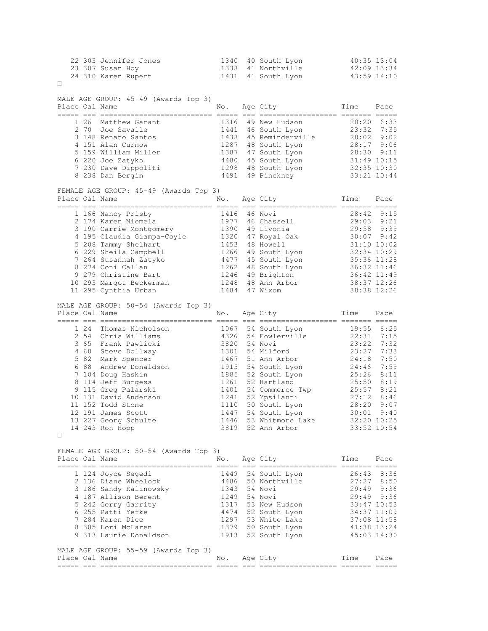| 22 303 Jennifer Jones | 1340 40 South Lyon | 40:35 13:04 |
|-----------------------|--------------------|-------------|
| 23 307 Susan Hoy      | 1338 41 Northville | 42:09 13:34 |
| 24 310 Karen Rupert   | 1431 41 South Lyon | 43:59 14:10 |

| MALE AGE GROUP: 45-49 (Awards Top 3)<br>Place Oal Name | No.                                    | Age City<br>---------------- ------- ----- | Time               | Pace                        |      |
|--------------------------------------------------------|----------------------------------------|--------------------------------------------|--------------------|-----------------------------|------|
| 1 26                                                   | Matthew Garant                         | 1316                                       | 49 New Hudson      | 20:20                       | 6:33 |
| 2 70                                                   | Joe Savalle                            | 1441                                       | 46 South Lyon      | 23:32                       | 7:35 |
|                                                        | 3 148 Renato Santos                    | 1438                                       | 45 Reminderville   | 28:02                       | 9:02 |
|                                                        | 4 151 Alan Curnow                      | 1287                                       | 48 South Lyon      | 28:17                       | 9:06 |
|                                                        | 5 159 William Miller                   | 1387                                       | 47 South Lyon      | 28:30 9:11                  |      |
|                                                        | 6 220 Joe Zatyko                       | 4480                                       | 45 South Lyon      | 31:49 10:15                 |      |
|                                                        | 7 230 Dave Dippoliti                   |                                            | 1298 48 South Lyon | 32:35 10:30                 |      |
|                                                        | 8 238 Dan Bergin                       | 4491                                       | 49 Pinckney        | 33:21 10:44                 |      |
|                                                        | FEMALE AGE GROUP: 45-49 (Awards Top 3) |                                            |                    |                             |      |
| Place Oal Name                                         |                                        | No.                                        | Age City           | Time<br>----- ------- ----- | Pace |
|                                                        | 1 166 Nancy Prisby                     | 1416                                       | 46 Novi            | 28:42                       | 9:15 |
|                                                        | 2 174 Karen Niemela                    | 1977                                       | 46 Chassell        | $29:03$ $9:21$              |      |
|                                                        | 3 190 Carrie Montgomery                | 1390                                       | 49 Livonia         | 29:58 9:39                  |      |
|                                                        | 4 195 Claudia Giampa-Coyle             | 1320                                       | 47 Royal Oak       | $30:07$ 9:42                |      |
|                                                        | 5 208 Tammy Shelhart                   | 1453                                       | 48 Howell          | 31:10 10:02                 |      |
|                                                        | 6 229 Sheila Campbell                  | 1266                                       | 49 South Lyon      | 32:34 10:29                 |      |
|                                                        | 7 264 Susannah Zatyko                  | 4477                                       | 45 South Lyon      | 35:36 11:28                 |      |
|                                                        | 8 274 Coni Callan                      | 1262                                       | 48 South Lyon      | 36:32 11:46                 |      |
|                                                        | 9 279 Christine Bart                   | 1246                                       | 49 Brighton        | 36:42 11:49                 |      |
|                                                        | 10 293 Margot Beckerman                | 1248                                       | 48 Ann Arbor       | 38:37 12:26                 |      |
|                                                        | 11 295 Cynthia Urban                   | 1484                                       | 47 Wixom           | 38:38 12:26                 |      |
|                                                        | MALE AGE GROUP: 50-54 (Awards Top 3)   |                                            |                    |                             |      |
| Place Oal Name                                         |                                        | No.                                        | Age City           | Time                        | Pace |
| 1 24                                                   | Thomas Nicholson                       | 1067                                       | 54 South Lyon      | 19:55                       | 6:25 |
|                                                        | 2 54 Chris Williams                    | 4326                                       | 54 Fowlerville     | 22:31                       | 7:15 |
| 3 65                                                   | Frank Pawlicki                         | 3820                                       | 54 Novi            | 23:22                       | 7:32 |
|                                                        | 4 68 Steve Dollway                     | 1301                                       | 54 Milford         | 23:27                       | 7:33 |
| 5 82                                                   | Mark Spencer                           | 1467                                       | 51 Ann Arbor       | 24:18                       | 7:50 |
| 6 88                                                   | Andrew Donaldson                       | 1915                                       | 54 South Lyon      | 24:46                       | 7:59 |
|                                                        | 7 104 Doug Haskin                      | 1885                                       | 52 South Lyon      | 25:26                       | 8:11 |
|                                                        | 8 114 Jeff Burgess                     | 1261                                       | 52 Hartland        | 25:50                       | 8:19 |
|                                                        | 9 115 Greg Palarski                    | 1401                                       | 54 Commerce Twp    | 25:57                       | 8:21 |
|                                                        | 10 131 David Anderson                  | 1241                                       | 52 Ypsilanti       | 27:12                       | 8:46 |
|                                                        | 11 152 Todd Stone                      | 1110                                       | 50 South Lyon      | 28:20                       | 9:07 |
|                                                        | 12 191 James Scott                     | 1447                                       | 54 South Lyon      | 30:01                       | 9:40 |
|                                                        | 13 227 Georg Schulte                   | 1446                                       | 53 Whitmore Lake   | 32:20 10:25                 |      |
|                                                        | 14 243 Ron Hopp                        | 3819                                       | 52 Ann Arbor       | 33:52 10:54                 |      |

FEMALE AGE GROUP: 50-54 (Awards Top 3) Place Oal Name  $\qquad \qquad$  No. Age City  $\qquad \qquad$  Time Pace ===== === ========================== ===== === ================== ======= =====

| 1 124 Joyce Segedi   |                                      | 1449 | 54 South Lyon | 26:43 | 8:36          |
|----------------------|--------------------------------------|------|---------------|-------|---------------|
| 2 136 Diane Wheelock |                                      | 4486 | 50 Northville | 27:27 | 8:50          |
|                      | 3 186 Sandy Kalinowsky               | 1343 | 54 Novi       | 29:49 | 9:36          |
| 4 187 Allison Berent |                                      | 1249 | 54 Novi       | 29:49 | 9:36          |
| 5 242 Gerry Garrity  |                                      | 1317 | 53 New Hudson |       | $33:47$ 10:53 |
| 6 255 Patti Yerke    |                                      | 4474 | 52 South Lyon |       | $34:37$ 11:09 |
| 7 284 Karen Dice     |                                      | 1297 | 53 White Lake |       | 37:08 11:58   |
| 8 305 Lori McLaren   |                                      | 1379 | 50 South Lyon |       | 41:38 13:24   |
|                      | 9 313 Laurie Donaldson               | 1913 | 52 South Lyon |       | $45:03$ 14:30 |
|                      |                                      |      |               |       |               |
|                      | MALE AGE GROUP: 55-59 (Awards Top 3) |      |               |       |               |
| Place Oal Name       |                                      | No.  | Age City      | Time  | Pace          |
|                      |                                      |      |               |       |               |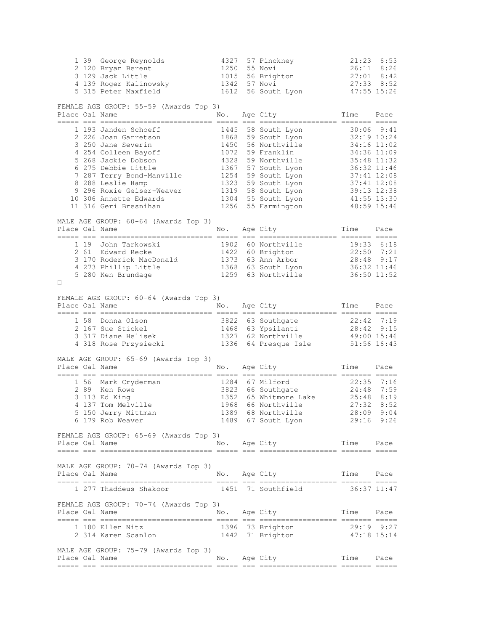|                    |      | 1 39 George Reynolds                                             | 4327                                                                                                                                                                                                                                                                                                                                                                                                |             | 57 Pinckney                                     | 21:23                 | 6:53                       |
|--------------------|------|------------------------------------------------------------------|-----------------------------------------------------------------------------------------------------------------------------------------------------------------------------------------------------------------------------------------------------------------------------------------------------------------------------------------------------------------------------------------------------|-------------|-------------------------------------------------|-----------------------|----------------------------|
|                    |      | 2 120 Bryan Berent<br>3 129 Jack Little                          | 1250<br>1015                                                                                                                                                                                                                                                                                                                                                                                        |             | 55 Novi<br>56 Brighton                          | 26:11                 | 8:26<br>$27:01$ 8:42       |
|                    |      | 4 139 Roger Kalinowsky                                           | 1342                                                                                                                                                                                                                                                                                                                                                                                                |             | 57 Novi                                         | $27:33$ $8:52$        |                            |
|                    |      | 5 315 Peter Maxfield                                             | 1612                                                                                                                                                                                                                                                                                                                                                                                                |             | 56 South Lyon                                   | 47:55 15:26           |                            |
|                    |      |                                                                  |                                                                                                                                                                                                                                                                                                                                                                                                     |             |                                                 |                       |                            |
|                    |      | FEMALE AGE GROUP: 55-59 (Awards Top 3)                           |                                                                                                                                                                                                                                                                                                                                                                                                     |             |                                                 |                       |                            |
| Place Oal Name     |      |                                                                  | No.                                                                                                                                                                                                                                                                                                                                                                                                 |             | Age City                                        | Time                  | Pace                       |
|                    |      | 1 193 Janden Schoeff                                             | 1445                                                                                                                                                                                                                                                                                                                                                                                                |             | 58 South Lyon                                   |                       | $30:06$ $9:41$             |
|                    |      | 2 226 Joan Garretson                                             | 1868                                                                                                                                                                                                                                                                                                                                                                                                |             | 59 South Lyon                                   |                       | 32:19 10:24                |
|                    |      | 3 250 Jane Severin                                               | 1450                                                                                                                                                                                                                                                                                                                                                                                                |             | 56 Northville                                   |                       | 34:16 11:02                |
|                    |      | 4 254 Colleen Bayoff                                             | 1072                                                                                                                                                                                                                                                                                                                                                                                                |             | 59 Franklin                                     |                       | 34:36 11:09                |
|                    |      | 5 268 Jackie Dobson                                              | 4328                                                                                                                                                                                                                                                                                                                                                                                                |             | 59 Northville                                   |                       | 35:48 11:32                |
|                    |      | 6 275 Debbie Little<br>7 287 Terry Bond-Manville                 | 1367<br>1254                                                                                                                                                                                                                                                                                                                                                                                        |             | 57 South Lyon                                   | 36:32 11:46           |                            |
|                    |      | 8 288 Leslie Hamp                                                | 1323                                                                                                                                                                                                                                                                                                                                                                                                |             | 59 South Lyon<br>59 South Lyon                  |                       | 37:41 12:08<br>37:41 12:08 |
|                    |      | 9 296 Roxie Geiser-Weaver                                        | 1319                                                                                                                                                                                                                                                                                                                                                                                                |             | 58 South Lyon                                   |                       | 39:13 12:38                |
|                    |      | 10 306 Annette Edwards                                           | 1304                                                                                                                                                                                                                                                                                                                                                                                                |             | 55 South Lyon                                   |                       | $41:55$ $13:30$            |
|                    |      | 11 316 Geri Bresnihan                                            | 1256                                                                                                                                                                                                                                                                                                                                                                                                |             | 55 Farmington                                   | 48:59 15:46           |                            |
|                    |      |                                                                  |                                                                                                                                                                                                                                                                                                                                                                                                     |             |                                                 |                       |                            |
| Place Oal Name     |      | MALE AGE GROUP: 60-64 (Awards Top 3)                             |                                                                                                                                                                                                                                                                                                                                                                                                     |             | Age City                                        |                       | Pace                       |
|                    |      |                                                                  | No.<br>$=$ $=$ $=$ $=$                                                                                                                                                                                                                                                                                                                                                                              |             | --- ------------------ ------ -----             | Time                  |                            |
|                    | 1 19 | John Tarkowski                                                   | 1902                                                                                                                                                                                                                                                                                                                                                                                                |             | 60 Northville                                   |                       | 19:33 6:18                 |
|                    |      | 2 61 Edward Recke                                                |                                                                                                                                                                                                                                                                                                                                                                                                     |             | 1422 60 Brighton                                | $22:50$ 7:21          |                            |
|                    |      | 3 170 Roderick MacDonald                                         |                                                                                                                                                                                                                                                                                                                                                                                                     |             | 1373 63 Ann Arbor                               |                       | 28:48 9:17                 |
|                    |      | 4 273 Phillip Little<br>5 280 Ken Brundage                       |                                                                                                                                                                                                                                                                                                                                                                                                     |             | 1368 63 South Lyon<br>1259 63 Northville        | 36:32 11:46           |                            |
|                    |      | 5 280 Ken Brundage                                               |                                                                                                                                                                                                                                                                                                                                                                                                     |             |                                                 |                       | 36:50 11:52                |
|                    |      |                                                                  |                                                                                                                                                                                                                                                                                                                                                                                                     |             |                                                 |                       |                            |
|                    |      | FEMALE AGE GROUP: 60-64 (Awards Top 3)                           |                                                                                                                                                                                                                                                                                                                                                                                                     |             |                                                 |                       |                            |
| Place Oal Name     |      |                                                                  | No.                                                                                                                                                                                                                                                                                                                                                                                                 |             | Age City                                        | Time                  | Pace                       |
|                    |      |                                                                  |                                                                                                                                                                                                                                                                                                                                                                                                     |             |                                                 |                       |                            |
|                    |      | 1 58 Donna Olson<br>2 167 Sue Stickel                            |                                                                                                                                                                                                                                                                                                                                                                                                     |             | 3822 63 Southgate<br>1468 63 Ypsilanti          | $22:42$ 7:19<br>28:42 | 9:15                       |
|                    |      | 3 317 Diane Helisek                                              |                                                                                                                                                                                                                                                                                                                                                                                                     |             | 1327 62 Northville                              | 49:00 15:46           |                            |
|                    |      | 4 318 Rose Przysiecki                                            |                                                                                                                                                                                                                                                                                                                                                                                                     |             | 1336 64 Presque Isle                            | $51:56$ $16:43$       |                            |
|                    |      |                                                                  |                                                                                                                                                                                                                                                                                                                                                                                                     |             |                                                 |                       |                            |
|                    |      | MALE AGE GROUP: 65-69 (Awards Top 3)                             |                                                                                                                                                                                                                                                                                                                                                                                                     |             |                                                 |                       |                            |
| Place Oal Name     |      |                                                                  | No.                                                                                                                                                                                                                                                                                                                                                                                                 |             | Age City                                        | Time                  | Pace                       |
|                    |      | 1 56 Mark Cryderman                                              |                                                                                                                                                                                                                                                                                                                                                                                                     |             | 1284 67 Milford                                 | $22:35$ 7:16          |                            |
|                    |      | 2 89 Ken Rowe                                                    |                                                                                                                                                                                                                                                                                                                                                                                                     |             | 3823 66 Southgate                               | 24:48                 | 7:59                       |
|                    |      | 3 113 Ed King                                                    |                                                                                                                                                                                                                                                                                                                                                                                                     |             | 1352 65 Whitmore Lake                           | 25:48                 | 8:19                       |
|                    |      | 4 137 Tom Melville                                               | 1968                                                                                                                                                                                                                                                                                                                                                                                                |             | 66 Northville                                   | 27:32                 | 8:52                       |
|                    |      | 5 150 Jerry Mittman                                              | 1389                                                                                                                                                                                                                                                                                                                                                                                                |             | 68 Northville                                   | 28:09                 | 9:04                       |
|                    |      | 6 179 Rob Weaver                                                 |                                                                                                                                                                                                                                                                                                                                                                                                     |             | 1489 67 South Lyon                              | $29:16$ $9:26$        |                            |
|                    |      | FEMALE AGE GROUP: 65-69 (Awards Top 3)                           |                                                                                                                                                                                                                                                                                                                                                                                                     |             |                                                 |                       |                            |
| Place Oal Name     |      |                                                                  | No.                                                                                                                                                                                                                                                                                                                                                                                                 |             | Age City                                        | Time                  | Pace                       |
| ----- --- -------- |      |                                                                  |                                                                                                                                                                                                                                                                                                                                                                                                     |             |                                                 |                       |                            |
|                    |      |                                                                  |                                                                                                                                                                                                                                                                                                                                                                                                     |             |                                                 | eessess eesse         |                            |
|                    |      |                                                                  |                                                                                                                                                                                                                                                                                                                                                                                                     |             |                                                 |                       |                            |
|                    |      | MALE AGE GROUP: 70-74 (Awards Top 3)                             |                                                                                                                                                                                                                                                                                                                                                                                                     |             |                                                 |                       |                            |
| Place Oal Name     |      |                                                                  | No.                                                                                                                                                                                                                                                                                                                                                                                                 |             | Age City                                        | Time                  | Pace                       |
|                    |      | _____ ___ ____________________________<br>1 277 Thaddeus Shakoor | 1451                                                                                                                                                                                                                                                                                                                                                                                                |             | --- --- ------------------- --<br>71 Southfield |                       | 36:37 11:47                |
|                    |      |                                                                  |                                                                                                                                                                                                                                                                                                                                                                                                     |             |                                                 |                       |                            |
|                    |      | FEMALE AGE GROUP: 70-74 (Awards Top 3)                           |                                                                                                                                                                                                                                                                                                                                                                                                     |             |                                                 |                       |                            |
| Place Oal Name     |      |                                                                  | No.                                                                                                                                                                                                                                                                                                                                                                                                 |             | Age City                                        | Time                  | Pace                       |
|                    |      |                                                                  |                                                                                                                                                                                                                                                                                                                                                                                                     |             | --------------- --                              |                       |                            |
|                    |      | 1 180 Ellen Nitz                                                 | 1396                                                                                                                                                                                                                                                                                                                                                                                                |             | 73 Brighton                                     |                       | 29:19 9:27                 |
|                    |      | 2 314 Karen Scanlon                                              |                                                                                                                                                                                                                                                                                                                                                                                                     |             | 1442 71 Brighton                                | 47:18 15:14           |                            |
|                    |      | MALE AGE GROUP: 75-79 (Awards Top 3)                             |                                                                                                                                                                                                                                                                                                                                                                                                     |             |                                                 |                       |                            |
| Place Oal Name     |      | ----- --- -------------                                          | No.<br>$\frac{1}{1} \frac{1}{1} \frac{1}{1} \frac{1}{1} \frac{1}{1} \frac{1}{1} \frac{1}{1} \frac{1}{1} \frac{1}{1} \frac{1}{1} \frac{1}{1} \frac{1}{1} \frac{1}{1} \frac{1}{1} \frac{1}{1} \frac{1}{1} \frac{1}{1} \frac{1}{1} \frac{1}{1} \frac{1}{1} \frac{1}{1} \frac{1}{1} \frac{1}{1} \frac{1}{1} \frac{1}{1} \frac{1}{1} \frac{1}{1} \frac{1}{1} \frac{1}{1} \frac{1}{1} \frac{1}{1} \frac{$ | $=$ $=$ $=$ | Age City                                        | Time<br>eccess esses  | Pace                       |